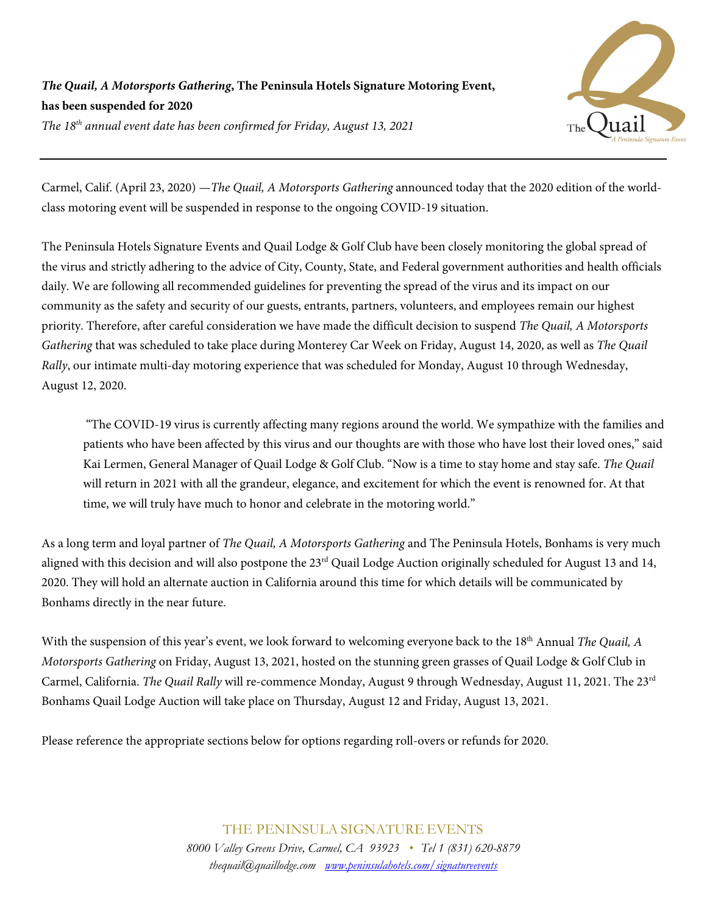*The Quail, A Motorsports Gathering***, The Peninsula Hotels Signature Motoring Event, has been suspended for 2020** *The 18th annual event date has been confirmed for Friday, August 13, 2021*

Carmel, Calif. (April 23, 2020) —*The Quail, A Motorsports Gathering* announced today that the 2020 edition of the worldclass motoring event will be suspended in response to the ongoing COVID-19 situation.

The Peninsula Hotels Signature Events and Quail Lodge & Golf Club have been closely monitoring the global spread of the virus and strictly adhering to the advice of City, County, State, and Federal government authorities and health officials daily. We are following all recommended guidelines for preventing the spread of the virus and its impact on our community as the safety and security of our guests, entrants, partners, volunteers, and employees remain our highest priority. Therefore, after careful consideration we have made the difficult decision to suspend *The Quail, A Motorsports Gathering* that was scheduled to take place during Monterey Car Week on Friday, August 14, 2020, as well as *The Quail Rally*, our intimate multi-day motoring experience that was scheduled for Monday, August 10 through Wednesday, August 12, 2020.

"The COVID-19 virus is currently affecting many regions around the world. We sympathize with the families and patients who have been affected by this virus and our thoughts are with those who have lost their loved ones," said Kai Lermen, General Manager of Quail Lodge & Golf Club. "Now is a time to stay home and stay safe. *The Quail* will return in 2021 with all the grandeur, elegance, and excitement for which the event is renowned for. At that time, we will truly have much to honor and celebrate in the motoring world."

As a long term and loyal partner of *The Quail, A Motorsports Gathering* and The Peninsula Hotels, Bonhams is very much aligned with this decision and will also postpone the  $23<sup>rd</sup>$  Quail Lodge Auction originally scheduled for August 13 and 14, 2020. They will hold an alternate auction in California around this time for which details will be communicated by Bonhams directly in the near future.

With the suspension of this year's event, we look forward to welcoming everyone back to the 18<sup>th</sup> Annual *The Quail*, *A Motorsports Gathering* on Friday, August 13, 2021, hosted on the stunning green grasses of Quail Lodge & Golf Club in Carmel, California. *The Quail Rally* will re-commence Monday, August 9 through Wednesday, August 11, 2021. The 23rd Bonhams Quail Lodge Auction will take place on Thursday, August 12 and Friday, August 13, 2021.

Please reference the appropriate sections below for options regarding roll-overs or refunds for 2020.

THE PENINSULA SIGNATURE EVENTS *8000 Valley Greens Drive, Carmel, CA 93923 • Tel 1 (831) 620-8879 thequail@quaillodge.com [www.peninsulahotels.com/signatureevents](http://www.peninsulahotels.com/signatureevents)*